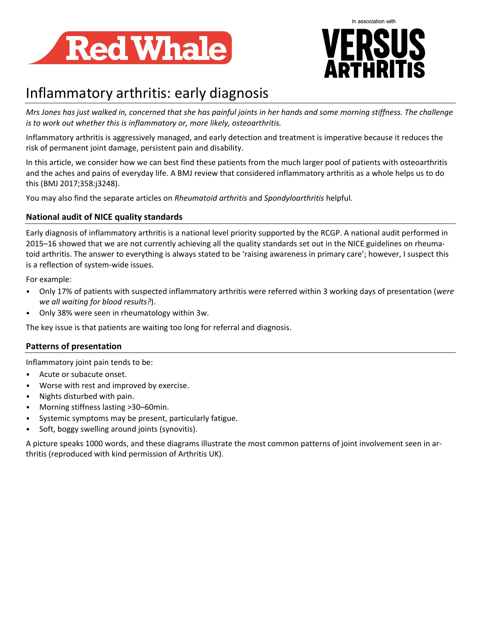



# Inflammatory arthritis: early diagnosis

*Mrs Jones has just walked in, concerned that she has painful joints in her hands and some morning stiffness. The challenge is to work out whether this is inflammatory or, more likely, osteoarthritis.*

Inflammatory arthritis is aggressively managed, and early detection and treatment is imperative because it reduces the risk of permanent joint damage, persistent pain and disability.

In this article, we consider how we can best find these patients from the much larger pool of patients with osteoarthritis and the aches and pains of everyday life. A BMJ review that considered inflammatory arthritis as a whole helps us to do this (BMJ 2017;358:j3248).

You may also find the separate articles on *Rheumatoid arthritis* and *Spondyloarthritis* helpful.

# **National audit of NICE quality standards**

Early diagnosis of inflammatory arthritis is a national level priority supported by the RCGP. A national audit performed in 2015–16 showed that we are not currently achieving all the quality standards set out in the NICE guidelines on rheumatoid arthritis. The answer to everything is always stated to be 'raising awareness in primary care'; however, I suspect this is a reflection of system-wide issues.

For example:

- Only 17% of patients with suspected inflammatory arthritis were referred within 3 working days of presentation (*were we all waiting for blood results?*).
- Only 38% were seen in rheumatology within 3w.

The key issue is that patients are waiting too long for referral and diagnosis.

# **Patterns of presentation**

Inflammatory joint pain tends to be:

- Acute or subacute onset.
- Worse with rest and improved by exercise.
- Nights disturbed with pain.
- Morning stiffness lasting >30–60min.
- Systemic symptoms may be present, particularly fatigue.
- Soft, boggy swelling around joints (synovitis).

A picture speaks 1000 words, and these diagrams illustrate the most common patterns of joint involvement seen in arthritis (reproduced with kind permission of Arthritis UK).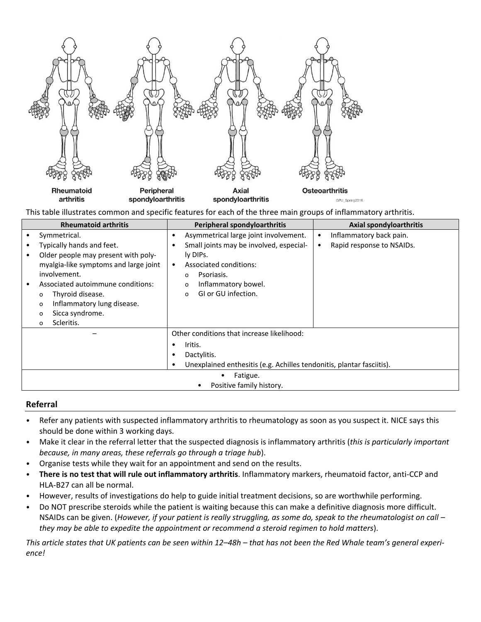

This table illustrates common and specific features for each of the three main groups of inflammatory arthritis.

| <b>Rheumatoid arthritis</b> |                                       | Peripheral spondyloarthritis               |                                                                       | <b>Axial spondyloarthritis</b> |                           |  |
|-----------------------------|---------------------------------------|--------------------------------------------|-----------------------------------------------------------------------|--------------------------------|---------------------------|--|
|                             | Symmetrical.                          | $\bullet$                                  | Asymmetrical large joint involvement.                                 |                                | Inflammatory back pain.   |  |
|                             | Typically hands and feet.             |                                            | Small joints may be involved, especial-                               |                                | Rapid response to NSAIDs. |  |
|                             | Older people may present with poly-   |                                            | ly DIPs.                                                              |                                |                           |  |
|                             | myalgia-like symptoms and large joint | $\bullet$                                  | Associated conditions:                                                |                                |                           |  |
|                             | involvement.                          |                                            | Psoriasis.<br>$\Omega$                                                |                                |                           |  |
|                             | Associated autoimmune conditions:     |                                            | Inflammatory bowel.<br>$\Omega$                                       |                                |                           |  |
|                             | Thyroid disease.<br>o                 |                                            | GI or GU infection.<br>$\Omega$                                       |                                |                           |  |
|                             | Inflammatory lung disease.<br>o       |                                            |                                                                       |                                |                           |  |
|                             | Sicca syndrome.<br>o                  |                                            |                                                                       |                                |                           |  |
|                             | Scleritis.<br>O                       |                                            |                                                                       |                                |                           |  |
|                             |                                       | Other conditions that increase likelihood: |                                                                       |                                |                           |  |
|                             |                                       |                                            | Iritis.                                                               |                                |                           |  |
|                             |                                       |                                            | Dactylitis.                                                           |                                |                           |  |
|                             |                                       |                                            | Unexplained enthesitis (e.g. Achilles tendonitis, plantar fasciitis). |                                |                           |  |
|                             | Fatigue.                              |                                            |                                                                       |                                |                           |  |
|                             | Positive family history.              |                                            |                                                                       |                                |                           |  |

#### **Referral**

- Refer any patients with suspected inflammatory arthritis to rheumatology as soon as you suspect it. NICE says this should be done within 3 working days.
- Make it clear in the referral letter that the suspected diagnosis is inflammatory arthritis (*this is particularly important because, in many areas, these referrals go through a triage hub*).
- Organise tests while they wait for an appointment and send on the results.
- **There is no test that will rule out inflammatory arthritis**. Inflammatory markers, rheumatoid factor, anti-CCP and HLA-B27 can all be normal.
- However, results of investigations do help to guide initial treatment decisions, so are worthwhile performing.
- Do NOT prescribe steroids while the patient is waiting because this can make a definitive diagnosis more difficult. NSAIDs can be given. (*However, if your patient is really struggling, as some do, speak to the rheumatologist on call – they may be able to expedite the appointment or recommend a steroid regimen to hold matters*).

*This article states that UK patients can be seen within 12–48h – that has not been the Red Whale team's general experience!*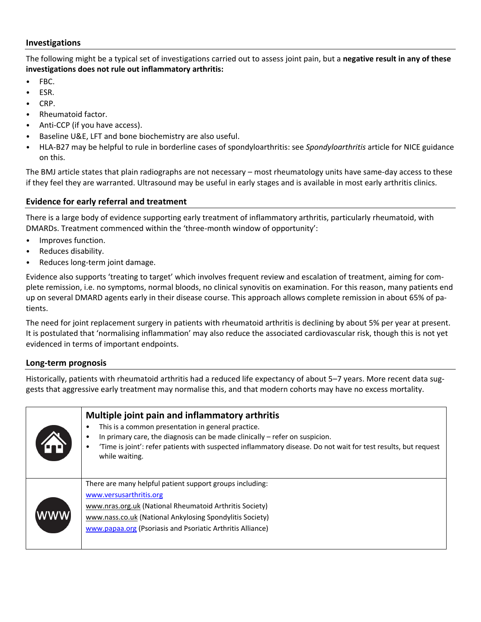### **Investigations**

The following might be a typical set of investigations carried out to assess joint pain, but a **negative result in any of these investigations does not rule out inflammatory arthritis:**

- FBC.
- ESR.
- CRP.
- Rheumatoid factor.
- Anti-CCP (if you have access).
- Baseline U&E, LFT and bone biochemistry are also useful.
- HLA-B27 may be helpful to rule in borderline cases of spondyloarthritis: see *Spondyloarthritis* article for NICE guidance on this.

The BMJ article states that plain radiographs are not necessary – most rheumatology units have same-day access to these if they feel they are warranted. Ultrasound may be useful in early stages and is available in most early arthritis clinics.

# **Evidence for early referral and treatment**

There is a large body of evidence supporting early treatment of inflammatory arthritis, particularly rheumatoid, with DMARDs. Treatment commenced within the 'three-month window of opportunity':

- Improves function.
- Reduces disability.
- Reduces long-term joint damage.

Evidence also supports 'treating to target' which involves frequent review and escalation of treatment, aiming for complete remission, i.e. no symptoms, normal bloods, no clinical synovitis on examination. For this reason, many patients end up on several DMARD agents early in their disease course. This approach allows complete remission in about 65% of patients.

The need for joint replacement surgery in patients with rheumatoid arthritis is declining by about 5% per year at present. It is postulated that 'normalising inflammation' may also reduce the associated cardiovascular risk, though this is not yet evidenced in terms of important endpoints.

# **Long-term prognosis**

Historically, patients with rheumatoid arthritis had a reduced life expectancy of about 5–7 years. More recent data suggests that aggressive early treatment may normalise this, and that modern cohorts may have no excess mortality.

| Fr) | Multiple joint pain and inflammatory arthritis<br>This is a common presentation in general practice.<br>In primary care, the diagnosis can be made clinically $-$ refer on suspicion.<br>'Time is joint': refer patients with suspected inflammatory disease. Do not wait for test results, but request<br>while waiting. |
|-----|---------------------------------------------------------------------------------------------------------------------------------------------------------------------------------------------------------------------------------------------------------------------------------------------------------------------------|
| WWW | There are many helpful patient support groups including:<br>www.versusarthritis.org<br>www.nras.org.uk (National Rheumatoid Arthritis Society)<br>www.nass.co.uk (National Ankylosing Spondylitis Society)<br>www.papaa.org (Psoriasis and Psoriatic Arthritis Alliance)                                                  |